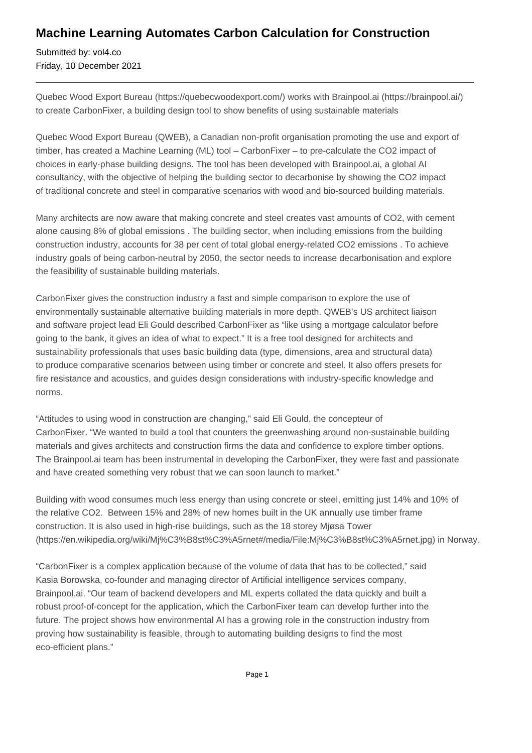## **Machine Learning Automates Carbon Calculation for Construction**

Submitted by: vol4.co Friday, 10 December 2021

Quebec Wood Export Bureau (https://quebecwoodexport.com/) works with Brainpool.ai (https://brainpool.ai/) to create CarbonFixer, a building design tool to show benefits of using sustainable materials

Quebec Wood Export Bureau (QWEB), a Canadian non-profit organisation promoting the use and export of timber, has created a Machine Learning (ML) tool – CarbonFixer – to pre-calculate the CO2 impact of choices in early-phase building designs. The tool has been developed with Brainpool.ai, a global AI consultancy, with the objective of helping the building sector to decarbonise by showing the CO2 impact of traditional concrete and steel in comparative scenarios with wood and bio-sourced building materials.

Many architects are now aware that making concrete and steel creates vast amounts of CO2, with cement alone causing 8% of global emissions . The building sector, when including emissions from the building construction industry, accounts for 38 per cent of total global energy-related CO2 emissions . To achieve industry goals of being carbon-neutral by 2050, the sector needs to increase decarbonisation and explore the feasibility of sustainable building materials.

CarbonFixer gives the construction industry a fast and simple comparison to explore the use of environmentally sustainable alternative building materials in more depth. QWEB's US architect liaison and software project lead Eli Gould described CarbonFixer as "like using a mortgage calculator before going to the bank, it gives an idea of what to expect." It is a free tool designed for architects and sustainability professionals that uses basic building data (type, dimensions, area and structural data) to produce comparative scenarios between using timber or concrete and steel. It also offers presets for fire resistance and acoustics, and guides design considerations with industry-specific knowledge and norms.

"Attitudes to using wood in construction are changing," said Eli Gould, the concepteur of CarbonFixer. "We wanted to build a tool that counters the greenwashing around non-sustainable building materials and gives architects and construction firms the data and confidence to explore timber options. The Brainpool.ai team has been instrumental in developing the CarbonFixer, they were fast and passionate and have created something very robust that we can soon launch to market."

Building with wood consumes much less energy than using concrete or steel, emitting just 14% and 10% of the relative CO2. Between 15% and 28% of new homes built in the UK annually use timber frame construction. It is also used in high-rise buildings, such as the 18 storey Mjøsa Tower (https://en.wikipedia.org/wiki/Mj%C3%B8st%C3%A5rnet#/media/File:Mj%C3%B8st%C3%A5rnet.jpg) in Norway.

"CarbonFixer is a complex application because of the volume of data that has to be collected," said Kasia Borowska, co-founder and managing director of Artificial intelligence services company, Brainpool.ai. "Our team of backend developers and ML experts collated the data quickly and built a robust proof-of-concept for the application, which the CarbonFixer team can develop further into the future. The project shows how environmental AI has a growing role in the construction industry from proving how sustainability is feasible, through to automating building designs to find the most eco-efficient plans."